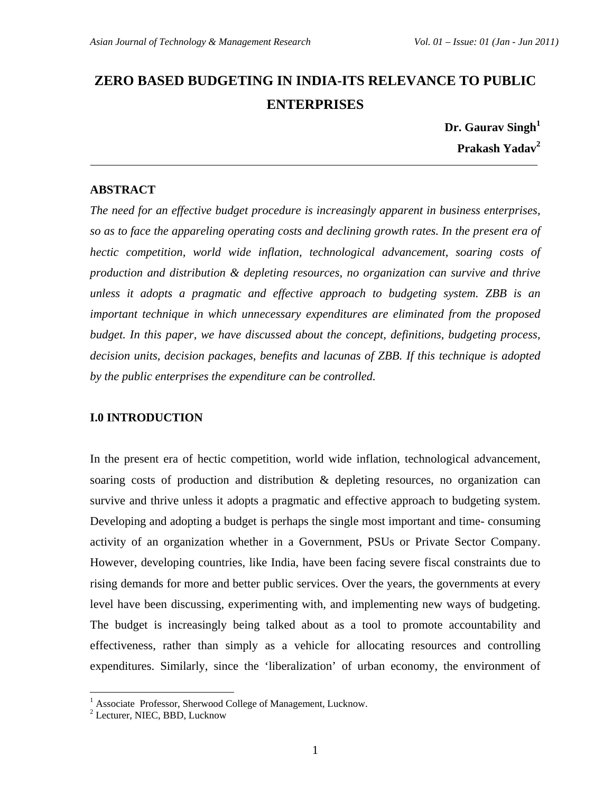# **ZERO BASED BUDGETING IN INDIA-ITS RELEVANCE TO PUBLIC ENTERPRISES**

 **Dr. Gaurav Singh<sup>1</sup> Prakash Yadav<sup>2</sup>**

### **ABSTRACT**

*The need for an effective budget procedure is increasingly apparent in business enterprises, so as to face the appareling operating costs and declining growth rates. In the present era of hectic competition, world wide inflation, technological advancement, soaring costs of production and distribution & depleting resources, no organization can survive and thrive unless it adopts a pragmatic and effective approach to budgeting system. ZBB is an important technique in which unnecessary expenditures are eliminated from the proposed budget. In this paper, we have discussed about the concept, definitions, budgeting process, decision units, decision packages, benefits and lacunas of ZBB. If this technique is adopted by the public enterprises the expenditure can be controlled.* 

#### **I.0 INTRODUCTION**

In the present era of hectic competition, world wide inflation, technological advancement, soaring costs of production and distribution & depleting resources, no organization can survive and thrive unless it adopts a pragmatic and effective approach to budgeting system. Developing and adopting a budget is perhaps the single most important and time- consuming activity of an organization whether in a Government, PSUs or Private Sector Company. However, developing countries, like India, have been facing severe fiscal constraints due to rising demands for more and better public services. Over the years, the governments at every level have been discussing, experimenting with, and implementing new ways of budgeting. The budget is increasingly being talked about as a tool to promote accountability and effectiveness, rather than simply as a vehicle for allocating resources and controlling expenditures. Similarly, since the 'liberalization' of urban economy, the environment of

 1 Associate Professor, Sherwood College of Management, Lucknow.

<sup>2</sup> Lecturer, NIEC, BBD, Lucknow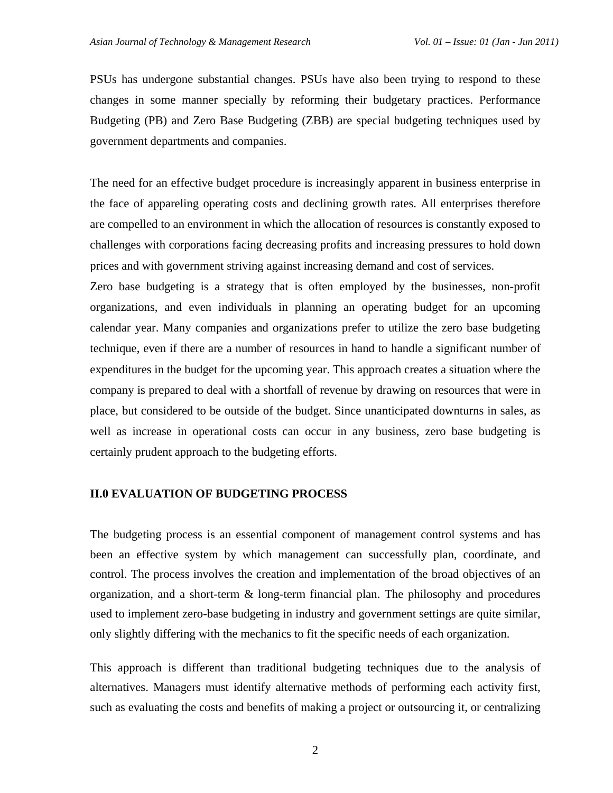PSUs has undergone substantial changes. PSUs have also been trying to respond to these changes in some manner specially by reforming their budgetary practices. Performance Budgeting (PB) and Zero Base Budgeting (ZBB) are special budgeting techniques used by government departments and companies.

The need for an effective budget procedure is increasingly apparent in business enterprise in the face of appareling operating costs and declining growth rates. All enterprises therefore are compelled to an environment in which the allocation of resources is constantly exposed to challenges with corporations facing decreasing profits and increasing pressures to hold down prices and with government striving against increasing demand and cost of services.

Zero base budgeting is a strategy that is often employed by the businesses, non-profit organizations, and even individuals in planning an operating budget for an upcoming calendar year. Many companies and organizations prefer to utilize the zero base budgeting technique, even if there are a number of resources in hand to handle a significant number of expenditures in the budget for the upcoming year. This approach creates a situation where the company is prepared to deal with a shortfall of revenue by drawing on resources that were in place, but considered to be outside of the budget. Since unanticipated downturns in sales, as well as increase in operational costs can occur in any business, zero base budgeting is certainly prudent approach to the budgeting efforts.

#### **II.0 EVALUATION OF BUDGETING PROCESS**

The budgeting process is an essential component of management control systems and has been an effective system by which management can successfully plan, coordinate, and control. The process involves the creation and implementation of the broad objectives of an organization, and a short-term & long-term financial plan. The philosophy and procedures used to implement zero-base budgeting in industry and government settings are quite similar, only slightly differing with the mechanics to fit the specific needs of each organization.

This approach is different than traditional budgeting techniques due to the analysis of alternatives. Managers must identify alternative methods of performing each activity first, such as evaluating the costs and benefits of making a project or outsourcing it, or centralizing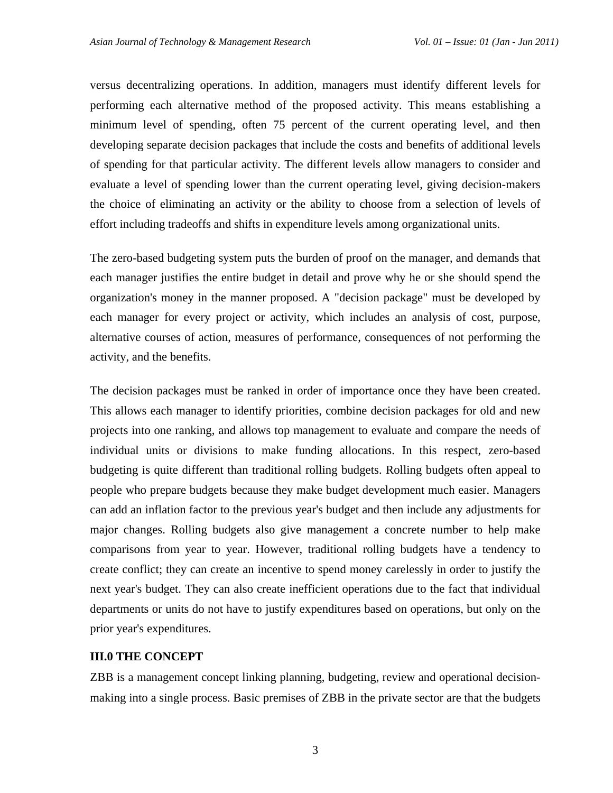versus decentralizing operations. In addition, managers must identify different levels for performing each alternative method of the proposed activity. This means establishing a minimum level of spending, often 75 percent of the current operating level, and then developing separate decision packages that include the costs and benefits of additional levels of spending for that particular activity. The different levels allow managers to consider and evaluate a level of spending lower than the current operating level, giving decision-makers the choice of eliminating an activity or the ability to choose from a selection of levels of effort including tradeoffs and shifts in expenditure levels among organizational units.

The zero-based budgeting system puts the burden of proof on the manager, and demands that each manager justifies the entire budget in detail and prove why he or she should spend the organization's money in the manner proposed. A "decision package" must be developed by each manager for every project or activity, which includes an analysis of cost, purpose, alternative courses of action, measures of performance, consequences of not performing the activity, and the benefits.

The decision packages must be ranked in order of importance once they have been created. This allows each manager to identify priorities, combine decision packages for old and new projects into one ranking, and allows top management to evaluate and compare the needs of individual units or divisions to make funding allocations. In this respect, zero-based budgeting is quite different than traditional rolling budgets. Rolling budgets often appeal to people who prepare budgets because they make budget development much easier. Managers can add an inflation factor to the previous year's budget and then include any adjustments for major changes. Rolling budgets also give management a concrete number to help make comparisons from year to year. However, traditional rolling budgets have a tendency to create conflict; they can create an incentive to spend money carelessly in order to justify the next year's budget. They can also create inefficient operations due to the fact that individual departments or units do not have to justify expenditures based on operations, but only on the prior year's expenditures.

#### **III.0 THE CONCEPT**

ZBB is a management concept linking planning, budgeting, review and operational decisionmaking into a single process. Basic premises of ZBB in the private sector are that the budgets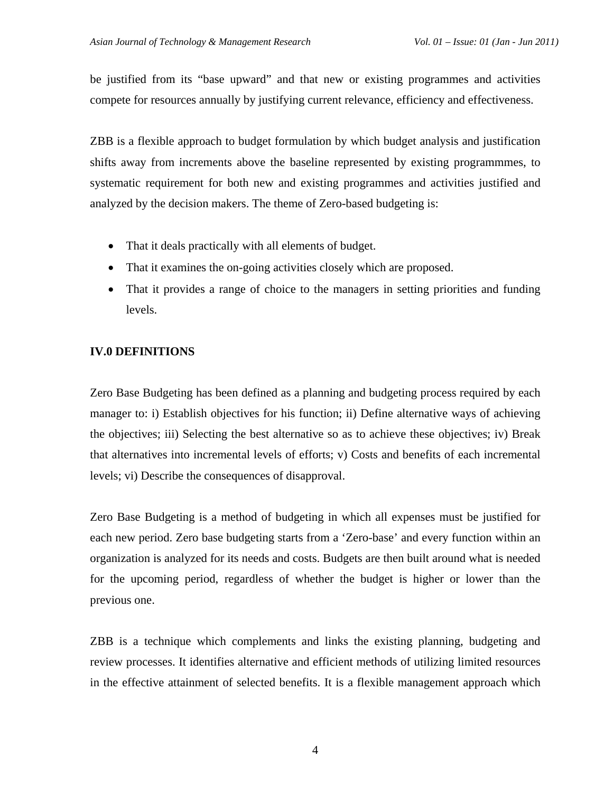be justified from its "base upward" and that new or existing programmes and activities compete for resources annually by justifying current relevance, efficiency and effectiveness.

ZBB is a flexible approach to budget formulation by which budget analysis and justification shifts away from increments above the baseline represented by existing programmmes, to systematic requirement for both new and existing programmes and activities justified and analyzed by the decision makers. The theme of Zero-based budgeting is:

- That it deals practically with all elements of budget.
- That it examines the on-going activities closely which are proposed.
- That it provides a range of choice to the managers in setting priorities and funding levels.

## **IV.0 DEFINITIONS**

Zero Base Budgeting has been defined as a planning and budgeting process required by each manager to: i) Establish objectives for his function; ii) Define alternative ways of achieving the objectives; iii) Selecting the best alternative so as to achieve these objectives; iv) Break that alternatives into incremental levels of efforts; v) Costs and benefits of each incremental levels; vi) Describe the consequences of disapproval.

Zero Base Budgeting is a method of budgeting in which all expenses must be justified for each new period. Zero base budgeting starts from a 'Zero-base' and every function within an organization is analyzed for its needs and costs. Budgets are then built around what is needed for the upcoming period, regardless of whether the budget is higher or lower than the previous one.

ZBB is a technique which complements and links the existing planning, budgeting and review processes. It identifies alternative and efficient methods of utilizing limited resources in the effective attainment of selected benefits. It is a flexible management approach which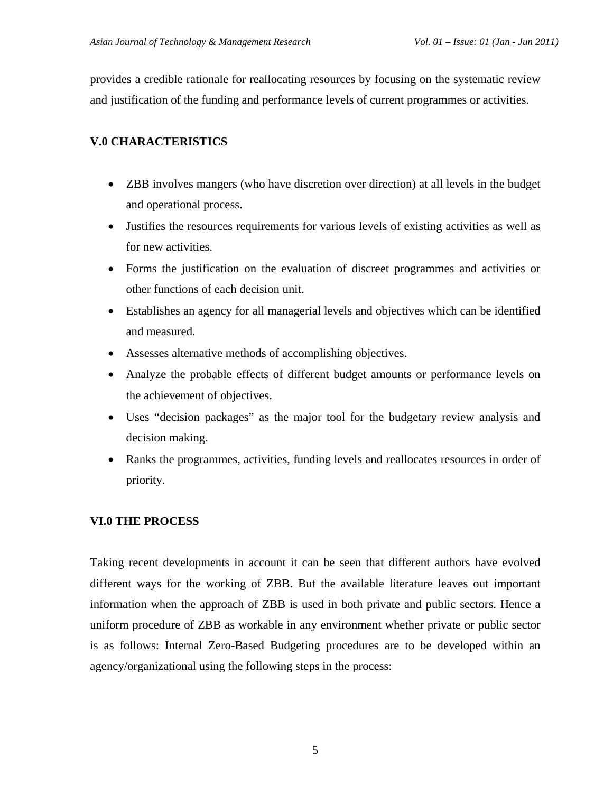provides a credible rationale for reallocating resources by focusing on the systematic review and justification of the funding and performance levels of current programmes or activities.

## **V.0 CHARACTERISTICS**

- ZBB involves mangers (who have discretion over direction) at all levels in the budget and operational process.
- Justifies the resources requirements for various levels of existing activities as well as for new activities.
- Forms the justification on the evaluation of discreet programmes and activities or other functions of each decision unit.
- Establishes an agency for all managerial levels and objectives which can be identified and measured.
- Assesses alternative methods of accomplishing objectives.
- Analyze the probable effects of different budget amounts or performance levels on the achievement of objectives.
- Uses "decision packages" as the major tool for the budgetary review analysis and decision making.
- Ranks the programmes, activities, funding levels and reallocates resources in order of priority.

## **VI.0 THE PROCESS**

Taking recent developments in account it can be seen that different authors have evolved different ways for the working of ZBB. But the available literature leaves out important information when the approach of ZBB is used in both private and public sectors. Hence a uniform procedure of ZBB as workable in any environment whether private or public sector is as follows: Internal Zero-Based Budgeting procedures are to be developed within an agency/organizational using the following steps in the process: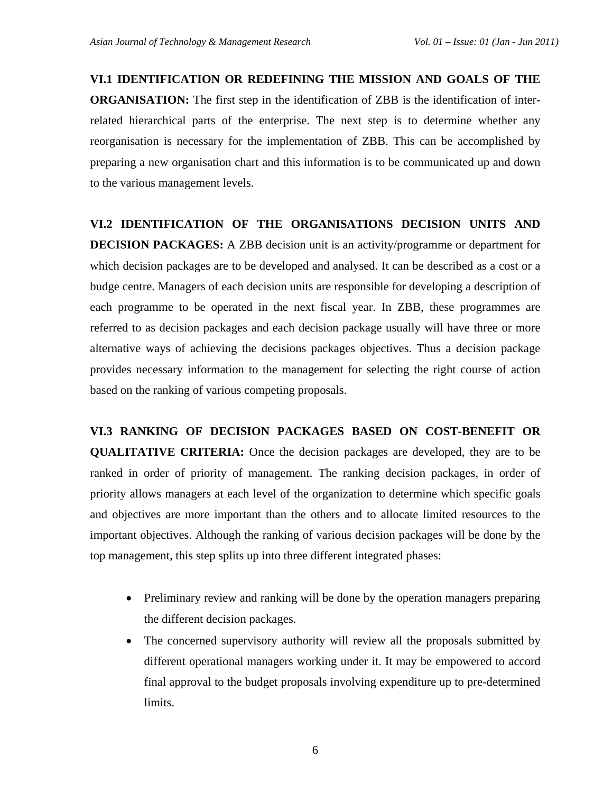## **VI.1 IDENTIFICATION OR REDEFINING THE MISSION AND GOALS OF THE**

**ORGANISATION:** The first step in the identification of ZBB is the identification of interrelated hierarchical parts of the enterprise. The next step is to determine whether any reorganisation is necessary for the implementation of ZBB. This can be accomplished by preparing a new organisation chart and this information is to be communicated up and down to the various management levels.

# **VI.2 IDENTIFICATION OF THE ORGANISATIONS DECISION UNITS AND DECISION PACKAGES:** A ZBB decision unit is an activity/programme or department for which decision packages are to be developed and analysed. It can be described as a cost or a budge centre. Managers of each decision units are responsible for developing a description of each programme to be operated in the next fiscal year. In ZBB, these programmes are referred to as decision packages and each decision package usually will have three or more alternative ways of achieving the decisions packages objectives. Thus a decision package provides necessary information to the management for selecting the right course of action based on the ranking of various competing proposals.

**VI.3 RANKING OF DECISION PACKAGES BASED ON COST-BENEFIT OR QUALITATIVE CRITERIA:** Once the decision packages are developed, they are to be ranked in order of priority of management. The ranking decision packages, in order of priority allows managers at each level of the organization to determine which specific goals and objectives are more important than the others and to allocate limited resources to the important objectives. Although the ranking of various decision packages will be done by the top management, this step splits up into three different integrated phases:

- Preliminary review and ranking will be done by the operation managers preparing the different decision packages.
- The concerned supervisory authority will review all the proposals submitted by different operational managers working under it. It may be empowered to accord final approval to the budget proposals involving expenditure up to pre-determined limits.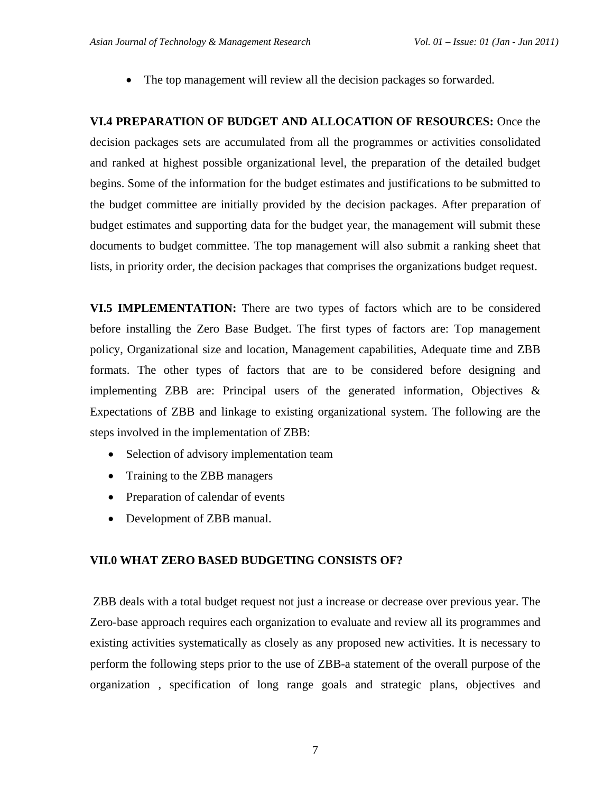• The top management will review all the decision packages so forwarded.

**VI.4 PREPARATION OF BUDGET AND ALLOCATION OF RESOURCES:** Once the decision packages sets are accumulated from all the programmes or activities consolidated and ranked at highest possible organizational level, the preparation of the detailed budget begins. Some of the information for the budget estimates and justifications to be submitted to the budget committee are initially provided by the decision packages. After preparation of budget estimates and supporting data for the budget year, the management will submit these documents to budget committee. The top management will also submit a ranking sheet that lists, in priority order, the decision packages that comprises the organizations budget request.

**VI.5 IMPLEMENTATION:** There are two types of factors which are to be considered before installing the Zero Base Budget. The first types of factors are: Top management policy, Organizational size and location, Management capabilities, Adequate time and ZBB formats. The other types of factors that are to be considered before designing and implementing ZBB are: Principal users of the generated information, Objectives & Expectations of ZBB and linkage to existing organizational system. The following are the steps involved in the implementation of ZBB:

- Selection of advisory implementation team
- Training to the ZBB managers
- Preparation of calendar of events
- Development of ZBB manual.

## **VII.0 WHAT ZERO BASED BUDGETING CONSISTS OF?**

 ZBB deals with a total budget request not just a increase or decrease over previous year. The Zero-base approach requires each organization to evaluate and review all its programmes and existing activities systematically as closely as any proposed new activities. It is necessary to perform the following steps prior to the use of ZBB-a statement of the overall purpose of the organization , specification of long range goals and strategic plans, objectives and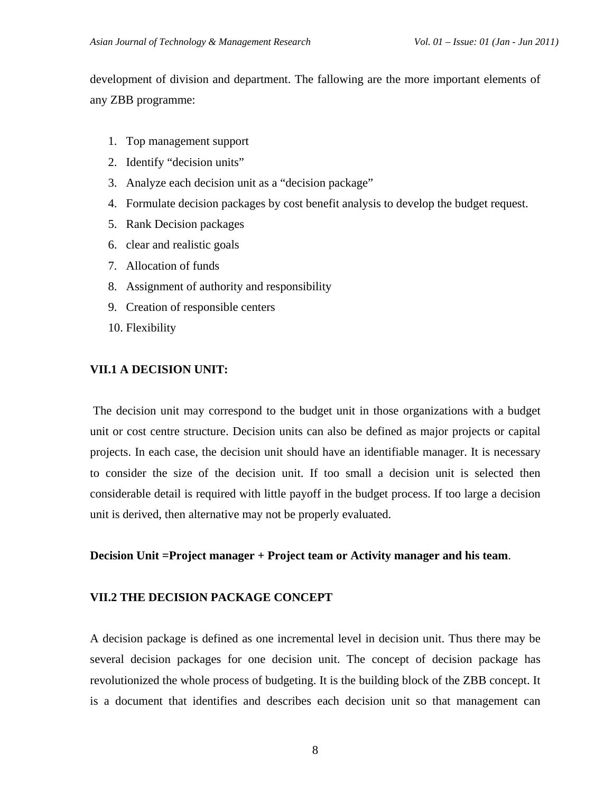development of division and department. The fallowing are the more important elements of any ZBB programme:

- 1. Top management support
- 2. Identify "decision units"
- 3. Analyze each decision unit as a "decision package"
- 4. Formulate decision packages by cost benefit analysis to develop the budget request.
- 5. Rank Decision packages
- 6. clear and realistic goals
- 7. Allocation of funds
- 8. Assignment of authority and responsibility
- 9. Creation of responsible centers
- 10. Flexibility

### **VII.1 A DECISION UNIT:**

The decision unit may correspond to the budget unit in those organizations with a budget unit or cost centre structure. Decision units can also be defined as major projects or capital projects. In each case, the decision unit should have an identifiable manager. It is necessary to consider the size of the decision unit. If too small a decision unit is selected then considerable detail is required with little payoff in the budget process. If too large a decision unit is derived, then alternative may not be properly evaluated.

#### **Decision Unit =Project manager + Project team or Activity manager and his team**.

#### **VII.2 THE DECISION PACKAGE CONCEPT**

A decision package is defined as one incremental level in decision unit. Thus there may be several decision packages for one decision unit. The concept of decision package has revolutionized the whole process of budgeting. It is the building block of the ZBB concept. It is a document that identifies and describes each decision unit so that management can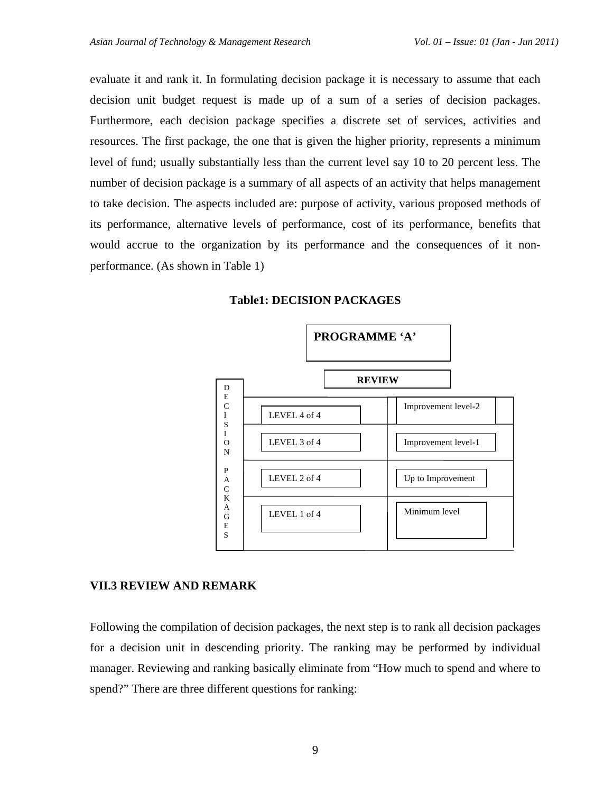evaluate it and rank it. In formulating decision package it is necessary to assume that each decision unit budget request is made up of a sum of a series of decision packages. Furthermore, each decision package specifies a discrete set of services, activities and resources. The first package, the one that is given the higher priority, represents a minimum level of fund; usually substantially less than the current level say 10 to 20 percent less. The number of decision package is a summary of all aspects of an activity that helps management to take decision. The aspects included are: purpose of activity, various proposed methods of its performance, alternative levels of performance, cost of its performance, benefits that would accrue to the organization by its performance and the consequences of it nonperformance. (As shown in Table 1)



#### **Table1: DECISION PACKAGES**

#### **VII.3 REVIEW AND REMARK**

Following the compilation of decision packages, the next step is to rank all decision packages for a decision unit in descending priority. The ranking may be performed by individual manager. Reviewing and ranking basically eliminate from "How much to spend and where to spend?" There are three different questions for ranking: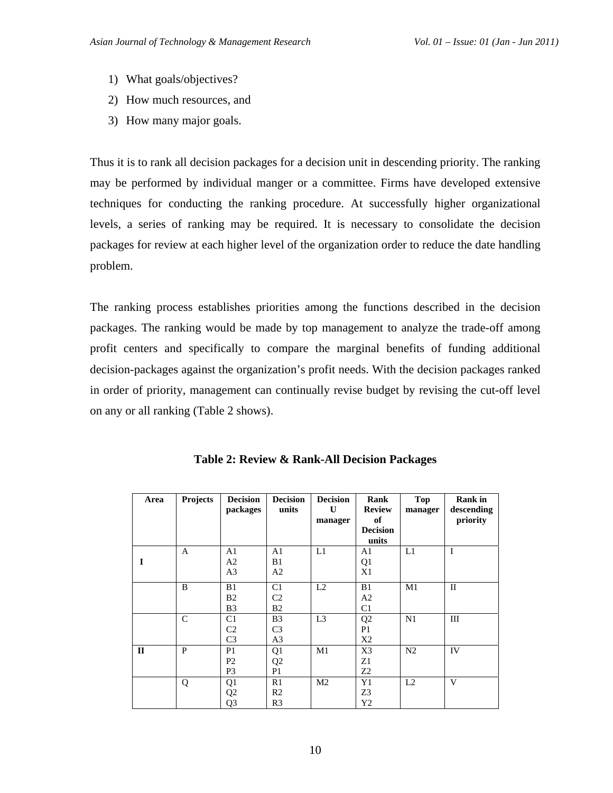- 1) What goals/objectives?
- 2) How much resources, and
- 3) How many major goals.

Thus it is to rank all decision packages for a decision unit in descending priority. The ranking may be performed by individual manger or a committee. Firms have developed extensive techniques for conducting the ranking procedure. At successfully higher organizational levels, a series of ranking may be required. It is necessary to consolidate the decision packages for review at each higher level of the organization order to reduce the date handling problem.

The ranking process establishes priorities among the functions described in the decision packages. The ranking would be made by top management to analyze the trade-off among profit centers and specifically to compare the marginal benefits of funding additional decision-packages against the organization's profit needs. With the decision packages ranked in order of priority, management can continually revise budget by revising the cut-off level on any or all ranking (Table 2 shows).

| Area         | Projects      | <b>Decision</b><br>packages                        | <b>Decision</b><br>units                           | <b>Decision</b><br>$\mathbf{U}$<br>manager | Rank<br><b>Review</b><br>of<br><b>Decision</b><br>units | <b>Top</b><br>manager | <b>Rank</b> in<br>descending<br>priority |
|--------------|---------------|----------------------------------------------------|----------------------------------------------------|--------------------------------------------|---------------------------------------------------------|-----------------------|------------------------------------------|
| I            | A             | A1<br>A <sub>2</sub><br>A <sub>3</sub>             | A1<br>B1<br>A <sub>2</sub>                         | L1                                         | A1<br>Q1<br>X1                                          | L1                    | I                                        |
|              | B             | B1<br>B <sub>2</sub><br>B <sub>3</sub>             | C1<br>C2<br>B <sub>2</sub>                         | L2                                         | B1<br>A <sub>2</sub><br>C1                              | M1                    | $\mathbf{I}$                             |
|              | $\mathcal{C}$ | C <sub>1</sub><br>C <sub>2</sub><br>C <sub>3</sub> | B <sub>3</sub><br>C <sub>3</sub><br>A <sub>3</sub> | L <sub>3</sub>                             | Q2<br>P <sub>1</sub><br>X <sub>2</sub>                  | N1                    | III                                      |
| $\mathbf{I}$ | $\mathbf{P}$  | P <sub>1</sub><br>P <sub>2</sub><br>P <sub>3</sub> | Q1<br>Q <sub>2</sub><br>P <sub>1</sub>             | M1                                         | X3<br>Z1<br>Z2                                          | N <sub>2</sub>        | IV                                       |
|              | Q             | Q1<br>Q <sub>2</sub><br>Q <sub>3</sub>             | R1<br>R <sub>2</sub><br>R <sub>3</sub>             | M <sub>2</sub>                             | Y <sub>1</sub><br>Z3<br>Y2                              | L2                    | V                                        |

**Table 2: Review & Rank-All Decision Packages**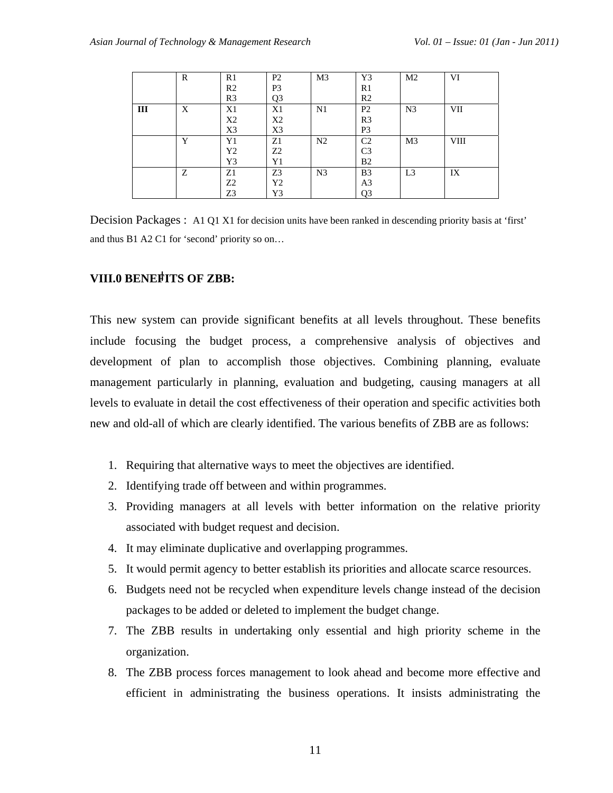|     | R | R1             | P <sub>2</sub> | M <sub>3</sub> | Y3             | M <sub>2</sub> | VI         |
|-----|---|----------------|----------------|----------------|----------------|----------------|------------|
|     |   | R <sub>2</sub> | P <sub>3</sub> |                | R1             |                |            |
|     |   | R <sub>3</sub> | Q <sub>3</sub> |                | R <sub>2</sub> |                |            |
| III | X | X1             | X1             | N1             | P <sub>2</sub> | N <sub>3</sub> | <b>VII</b> |
|     |   | X <sub>2</sub> | X <sub>2</sub> |                | R <sub>3</sub> |                |            |
|     |   | X3             | X3             |                | P <sub>3</sub> |                |            |
|     | Y | Y1             | Z1             | N <sub>2</sub> | C <sub>2</sub> | M <sub>3</sub> | VIII       |
|     |   | Y2             | Z <sub>2</sub> |                | C <sub>3</sub> |                |            |
|     |   | Y3             | Y1             |                | B <sub>2</sub> |                |            |
|     | Ζ | Z1             | Z3             | N <sub>3</sub> | B <sub>3</sub> | L <sub>3</sub> | IX         |
|     |   | Z <sub>2</sub> | Y2             |                | A <sub>3</sub> |                |            |
|     |   | Z3             | Y3             |                | Q3             |                |            |

Decision Packages : A1 Q1 X1 for decision units have been ranked in descending priority basis at 'first' and thus B1 A2 C1 for 'second' priority so on…

## **VIII.0 BENEFITS OF ZBB:**

This new system can provide significant benefits at all levels throughout. These benefits include focusing the budget process, a comprehensive analysis of objectives and development of plan to accomplish those objectives. Combining planning, evaluate management particularly in planning, evaluation and budgeting, causing managers at all levels to evaluate in detail the cost effectiveness of their operation and specific activities both new and old-all of which are clearly identified. The various benefits of ZBB are as follows:

- 1. Requiring that alternative ways to meet the objectives are identified.
- 2. Identifying trade off between and within programmes.
- 3. Providing managers at all levels with better information on the relative priority associated with budget request and decision.
- 4. It may eliminate duplicative and overlapping programmes.
- 5. It would permit agency to better establish its priorities and allocate scarce resources.
- 6. Budgets need not be recycled when expenditure levels change instead of the decision packages to be added or deleted to implement the budget change.
- 7. The ZBB results in undertaking only essential and high priority scheme in the organization.
- 8. The ZBB process forces management to look ahead and become more effective and efficient in administrating the business operations. It insists administrating the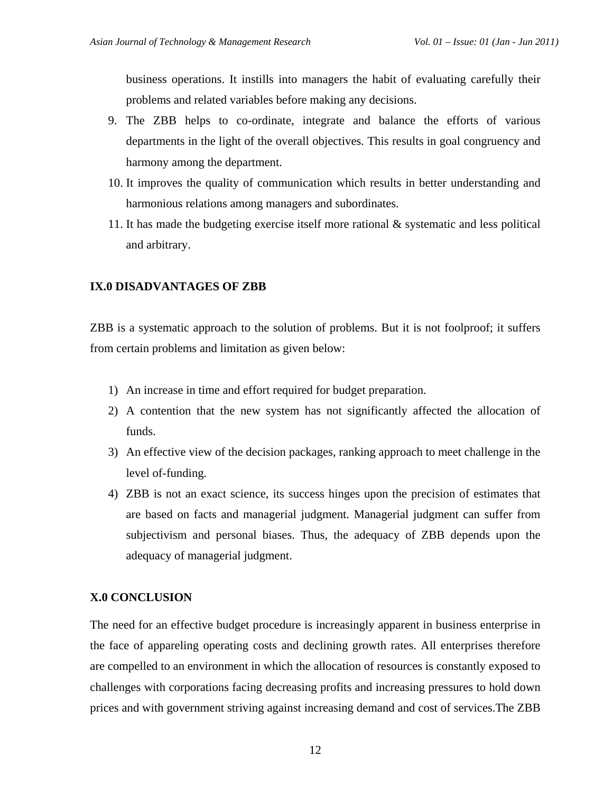business operations. It instills into managers the habit of evaluating carefully their problems and related variables before making any decisions.

- 9. The ZBB helps to co-ordinate, integrate and balance the efforts of various departments in the light of the overall objectives. This results in goal congruency and harmony among the department.
- 10. It improves the quality of communication which results in better understanding and harmonious relations among managers and subordinates.
- 11. It has made the budgeting exercise itself more rational & systematic and less political and arbitrary.

## **IX.0 DISADVANTAGES OF ZBB**

ZBB is a systematic approach to the solution of problems. But it is not foolproof; it suffers from certain problems and limitation as given below:

- 1) An increase in time and effort required for budget preparation.
- 2) A contention that the new system has not significantly affected the allocation of funds.
- 3) An effective view of the decision packages, ranking approach to meet challenge in the level of-funding.
- 4) ZBB is not an exact science, its success hinges upon the precision of estimates that are based on facts and managerial judgment. Managerial judgment can suffer from subjectivism and personal biases. Thus, the adequacy of ZBB depends upon the adequacy of managerial judgment.

## **X.0 CONCLUSION**

The need for an effective budget procedure is increasingly apparent in business enterprise in the face of appareling operating costs and declining growth rates. All enterprises therefore are compelled to an environment in which the allocation of resources is constantly exposed to challenges with corporations facing decreasing profits and increasing pressures to hold down prices and with government striving against increasing demand and cost of services.The ZBB